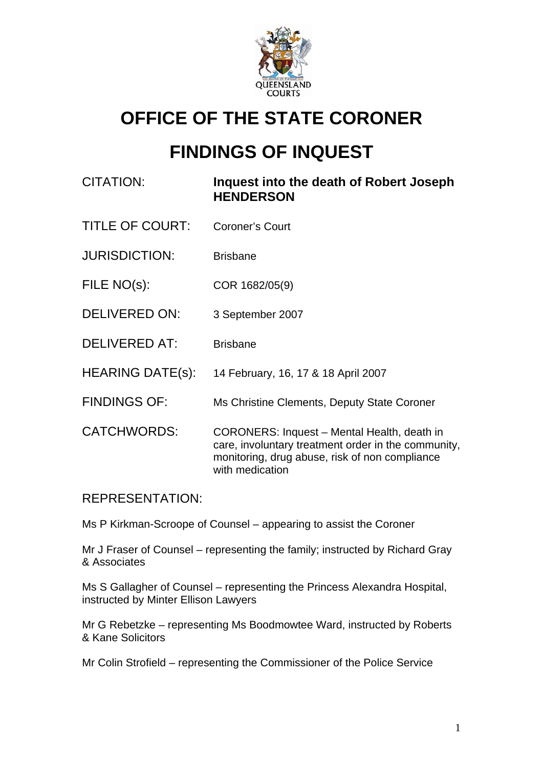

# **OFFICE OF THE STATE CORONER**

## **FINDINGS OF INQUEST**

### CITATION: **Inquest into the death of Robert Joseph HENDERSON**

- TITLE OF COURT: Coroner's Court
- JURISDICTION: Brisbane
- FILE NO(s): COR 1682/05(9)
- DELIVERED ON: 3 September 2007
- DELIVERED AT: Brisbane
- HEARING DATE(s): 14 February, 16, 17 & 18 April 2007
- FINDINGS OF: Ms Christine Clements, Deputy State Coroner
- CATCHWORDS: CORONERS: Inquest Mental Health, death in care, involuntary treatment order in the community, monitoring, drug abuse, risk of non compliance with medication

#### REPRESENTATION:

Ms P Kirkman-Scroope of Counsel – appearing to assist the Coroner

Mr J Fraser of Counsel – representing the family; instructed by Richard Gray & Associates

Ms S Gallagher of Counsel – representing the Princess Alexandra Hospital, instructed by Minter Ellison Lawyers

Mr G Rebetzke – representing Ms Boodmowtee Ward, instructed by Roberts & Kane Solicitors

Mr Colin Strofield – representing the Commissioner of the Police Service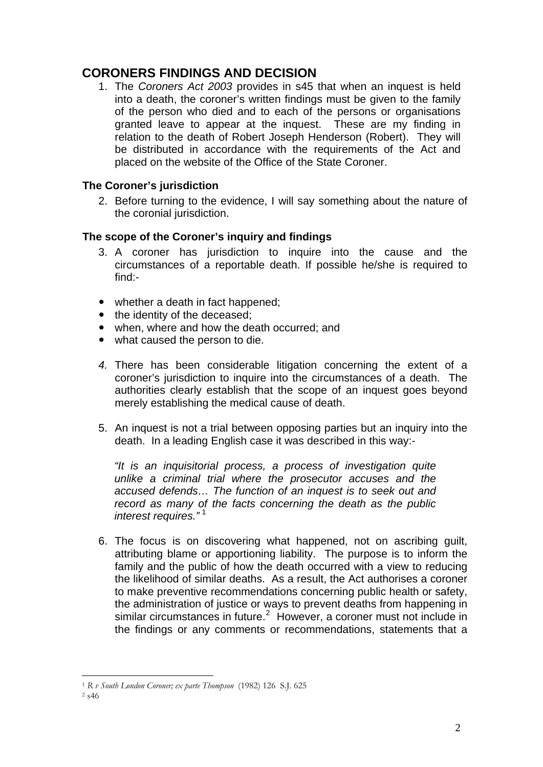### **CORONERS FINDINGS AND DECISION**

1. The *Coroners Act 2003* provides in s45 that when an inquest is held into a death, the coroner's written findings must be given to the family of the person who died and to each of the persons or organisations granted leave to appear at the inquest. These are my finding in relation to the death of Robert Joseph Henderson (Robert). They will be distributed in accordance with the requirements of the Act and placed on the website of the Office of the State Coroner.

#### **The Coroner's jurisdiction**

2. Before turning to the evidence, I will say something about the nature of the coronial jurisdiction.

#### **The scope of the Coroner's inquiry and findings**

- 3. A coroner has jurisdiction to inquire into the cause and the circumstances of a reportable death. If possible he/she is required to find:-
- whether a death in fact happened;
- the identity of the deceased:
- when, where and how the death occurred; and
- what caused the person to die.
- *4.* There has been considerable litigation concerning the extent of a coroner's jurisdiction to inquire into the circumstances of a death. The authorities clearly establish that the scope of an inquest goes beyond merely establishing the medical cause of death.
- 5. An inquest is not a trial between opposing parties but an inquiry into the death. In a leading English case it was described in this way:-

*"It is an inquisitorial process, a process of investigation quite unlike a criminal trial where the prosecutor accuses and the accused defends… The function of an inquest is to seek out and record as many of the facts concerning the death as the public interest requires.*"<sup>[1](#page-1-0)</sup>

6. The focus is on discovering what happened, not on ascribing guilt, attributing blame or apportioning liability. The purpose is to inform the family and the public of how the death occurred with a view to reducing the likelihood of similar deaths. As a result, the Act authorises a coroner to make preventive recommendations concerning public health or safety, the administration of justice or ways to prevent deaths from happening in similar circumstances in future. $2$  However, a coroner must not include in the findings or any comments or recommendations, statements that a

<span id="page-1-0"></span><sup>1</sup> *R v South London Coroner; ex parte Thompson* (1982) 126 S.J. 625 2 s46

<span id="page-1-1"></span>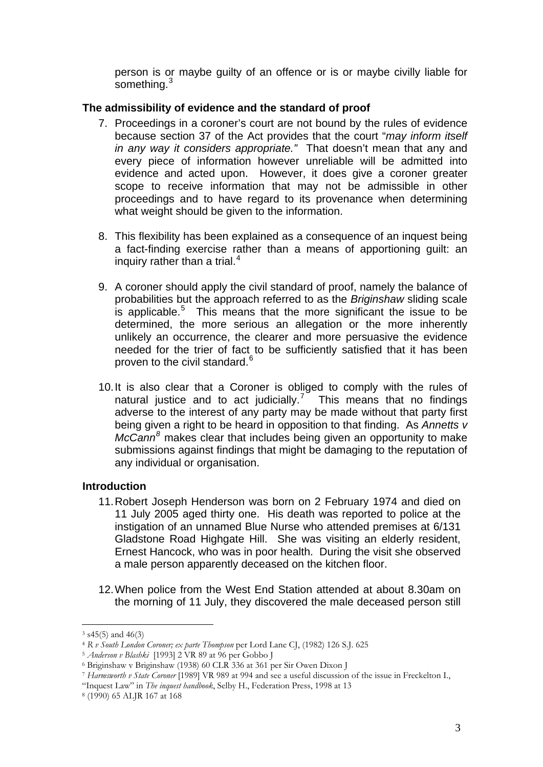person is or maybe guilty of an offence or is or maybe civilly liable for something.<sup>3</sup>

#### **The admissibility of evidence and the standard of proof**

- 7. Proceedings in a coroner's court are not bound by the rules of evidence because section 37 of the Act provides that the court "*may inform itself in any way it considers appropriate."* That doesn't mean that any and every piece of information however unreliable will be admitted into evidence and acted upon. However, it does give a coroner greater scope to receive information that may not be admissible in other proceedings and to have regard to its provenance when determining what weight should be given to the information.
- 8. This flexibility has been explained as a consequence of an inquest being a fact-finding exercise rather than a means of apportioning guilt: an inquiry rather than a trial. $4$
- 9. A coroner should apply the civil standard of proof, namely the balance of probabilities but the approach referred to as the *Briginshaw* sliding scale is applicable.<sup>[5](#page-2-1)</sup> This means that the more significant the issue to be determined, the more serious an allegation or the more inherently unlikely an occurrence, the clearer and more persuasive the evidence needed for the trier of fact to be sufficiently satisfied that it has been proven to the civil standard.<sup>[6](#page-2-2)</sup>
- 10. It is also clear that a Coroner is obliged to comply with the rules of natural justice and to act judicially.<sup>[7](#page-2-3)</sup> This means that no findings adverse to the interest of any party may be made without that party first being given a right to be heard in opposition to that finding. As *Annetts v McCann[8](#page-2-4)* makes clear that includes being given an opportunity to make submissions against findings that might be damaging to the reputation of any individual or organisation.

#### **Introduction**

- 11. Robert Joseph Henderson was born on 2 February 1974 and died on 11 July 2005 aged thirty one. His death was reported to police at the instigation of an unnamed Blue Nurse who attended premises at 6/131 Gladstone Road Highgate Hill. She was visiting an elderly resident, Ernest Hancock, who was in poor health. During the visit she observed a male person apparently deceased on the kitchen floor.
- 12. When police from the West End Station attended at about 8.30am on the morning of 11 July, they discovered the male deceased person still

 $3$  s45(5) and 46(3)<br>4 R v South London Coroner; ex parte Thompson per Lord Lane CJ, (1982) 126 S.J. 625

<span id="page-2-1"></span><span id="page-2-0"></span><sup>&</sup>lt;sup>5</sup> *Anderson v Blashki* [1993] 2 VR 89 at 96 per Gobbo J<br><sup>6</sup> Briginshaw v Briginshaw (1938) 60 CLR 336 at 361 per Sir Owen Dixon J

<span id="page-2-3"></span><span id="page-2-2"></span><sup>7</sup> *Harmsworth v State Coroner* [1989] VR 989 at 994 and see a useful discussion of the issue in Freckelton I.,

<sup>&</sup>quot;Inquest Law" in *The inquest handbook*, Selby H., Federation Press, 1998 at 13 8 (1990) 65 ALJR 167 at 168

<span id="page-2-4"></span>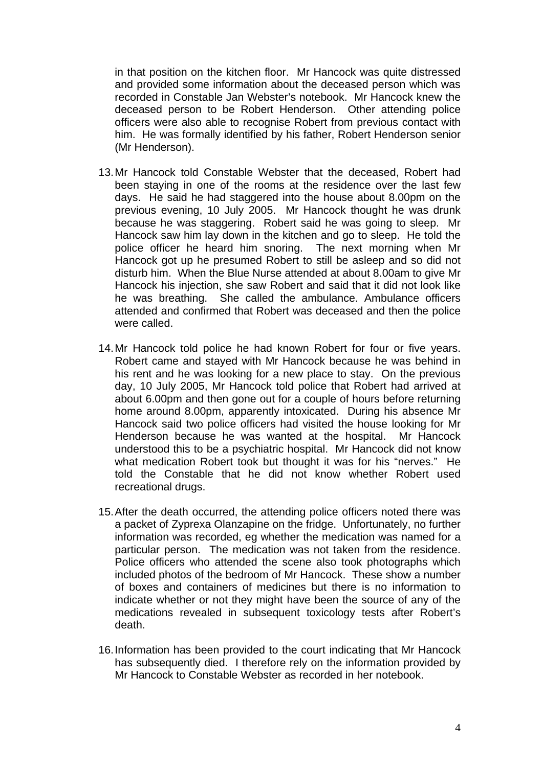in that position on the kitchen floor. Mr Hancock was quite distressed and provided some information about the deceased person which was recorded in Constable Jan Webster's notebook. Mr Hancock knew the deceased person to be Robert Henderson. Other attending police officers were also able to recognise Robert from previous contact with him. He was formally identified by his father, Robert Henderson senior (Mr Henderson).

- 13. Mr Hancock told Constable Webster that the deceased, Robert had been staying in one of the rooms at the residence over the last few days. He said he had staggered into the house about 8.00pm on the previous evening, 10 July 2005. Mr Hancock thought he was drunk because he was staggering. Robert said he was going to sleep. Mr Hancock saw him lay down in the kitchen and go to sleep. He told the police officer he heard him snoring. The next morning when Mr Hancock got up he presumed Robert to still be asleep and so did not disturb him. When the Blue Nurse attended at about 8.00am to give Mr Hancock his injection, she saw Robert and said that it did not look like he was breathing. She called the ambulance. Ambulance officers attended and confirmed that Robert was deceased and then the police were called.
- 14. Mr Hancock told police he had known Robert for four or five years. Robert came and stayed with Mr Hancock because he was behind in his rent and he was looking for a new place to stay. On the previous day, 10 July 2005, Mr Hancock told police that Robert had arrived at about 6.00pm and then gone out for a couple of hours before returning home around 8.00pm, apparently intoxicated. During his absence Mr Hancock said two police officers had visited the house looking for Mr Henderson because he was wanted at the hospital. Mr Hancock understood this to be a psychiatric hospital. Mr Hancock did not know what medication Robert took but thought it was for his "nerves." He told the Constable that he did not know whether Robert used recreational drugs.
- 15. After the death occurred, the attending police officers noted there was a packet of Zyprexa Olanzapine on the fridge. Unfortunately, no further information was recorded, eg whether the medication was named for a particular person. The medication was not taken from the residence. Police officers who attended the scene also took photographs which included photos of the bedroom of Mr Hancock. These show a number of boxes and containers of medicines but there is no information to indicate whether or not they might have been the source of any of the medications revealed in subsequent toxicology tests after Robert's death.
- 16. Information has been provided to the court indicating that Mr Hancock has subsequently died. I therefore rely on the information provided by Mr Hancock to Constable Webster as recorded in her notebook.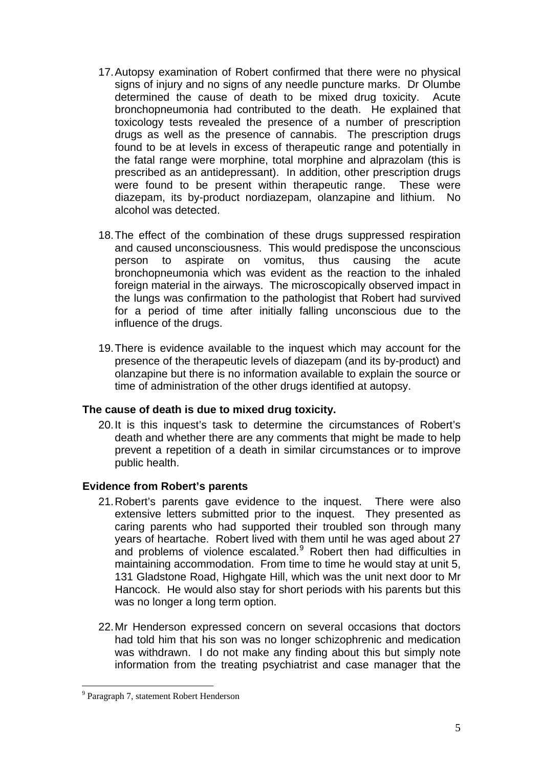- 17. Autopsy examination of Robert confirmed that there were no physical signs of injury and no signs of any needle puncture marks. Dr Olumbe determined the cause of death to be mixed drug toxicity. Acute bronchopneumonia had contributed to the death. He explained that toxicology tests revealed the presence of a number of prescription drugs as well as the presence of cannabis. The prescription drugs found to be at levels in excess of therapeutic range and potentially in the fatal range were morphine, total morphine and alprazolam (this is prescribed as an antidepressant). In addition, other prescription drugs were found to be present within therapeutic range. These were diazepam, its by-product nordiazepam, olanzapine and lithium. No alcohol was detected.
- 18. The effect of the combination of these drugs suppressed respiration and caused unconsciousness. This would predispose the unconscious person to aspirate on vomitus, thus causing the acute bronchopneumonia which was evident as the reaction to the inhaled foreign material in the airways. The microscopically observed impact in the lungs was confirmation to the pathologist that Robert had survived for a period of time after initially falling unconscious due to the influence of the drugs.
- 19. There is evidence available to the inquest which may account for the presence of the therapeutic levels of diazepam (and its by-product) and olanzapine but there is no information available to explain the source or time of administration of the other drugs identified at autopsy.

#### **The cause of death is due to mixed drug toxicity.**

20. It is this inquest's task to determine the circumstances of Robert's death and whether there are any comments that might be made to help prevent a repetition of a death in similar circumstances or to improve public health.

#### **Evidence from Robert's parents**

- 21. Robert's parents gave evidence to the inquest. There were also extensive letters submitted prior to the inquest. They presented as caring parents who had supported their troubled son through many years of heartache. Robert lived with them until he was aged about 27 and problems of violence escalated. Robert then had difficulties in maintaining accommodation. From time to time he would stay at unit 5, 131 Gladstone Road, Highgate Hill, which was the unit next door to Mr Hancock. He would also stay for short periods with his parents but this was no longer a long term option.
- 22. Mr Henderson expressed concern on several occasions that doctors had told him that his son was no longer schizophrenic and medication was withdrawn. I do not make any finding about this but simply note information from the treating psychiatrist and case manager that the

<span id="page-4-0"></span><sup>&</sup>lt;sup>9</sup> Paragraph 7, statement Robert Henderson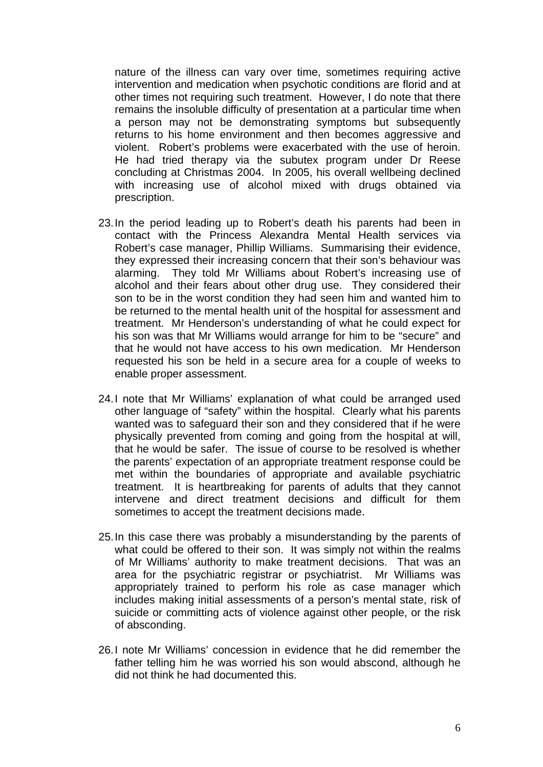nature of the illness can vary over time, sometimes requiring active intervention and medication when psychotic conditions are florid and at other times not requiring such treatment. However, I do note that there remains the insoluble difficulty of presentation at a particular time when a person may not be demonstrating symptoms but subsequently returns to his home environment and then becomes aggressive and violent. Robert's problems were exacerbated with the use of heroin. He had tried therapy via the subutex program under Dr Reese concluding at Christmas 2004. In 2005, his overall wellbeing declined with increasing use of alcohol mixed with drugs obtained via prescription.

- 23. In the period leading up to Robert's death his parents had been in contact with the Princess Alexandra Mental Health services via Robert's case manager, Phillip Williams. Summarising their evidence, they expressed their increasing concern that their son's behaviour was alarming. They told Mr Williams about Robert's increasing use of alcohol and their fears about other drug use. They considered their son to be in the worst condition they had seen him and wanted him to be returned to the mental health unit of the hospital for assessment and treatment. Mr Henderson's understanding of what he could expect for his son was that Mr Williams would arrange for him to be "secure" and that he would not have access to his own medication. Mr Henderson requested his son be held in a secure area for a couple of weeks to enable proper assessment.
- 24. I note that Mr Williams' explanation of what could be arranged used other language of "safety" within the hospital. Clearly what his parents wanted was to safeguard their son and they considered that if he were physically prevented from coming and going from the hospital at will, that he would be safer. The issue of course to be resolved is whether the parents' expectation of an appropriate treatment response could be met within the boundaries of appropriate and available psychiatric treatment. It is heartbreaking for parents of adults that they cannot intervene and direct treatment decisions and difficult for them sometimes to accept the treatment decisions made.
- 25. In this case there was probably a misunderstanding by the parents of what could be offered to their son. It was simply not within the realms of Mr Williams' authority to make treatment decisions. That was an area for the psychiatric registrar or psychiatrist. Mr Williams was appropriately trained to perform his role as case manager which includes making initial assessments of a person's mental state, risk of suicide or committing acts of violence against other people, or the risk of absconding.
- 26. I note Mr Williams' concession in evidence that he did remember the father telling him he was worried his son would abscond, although he did not think he had documented this.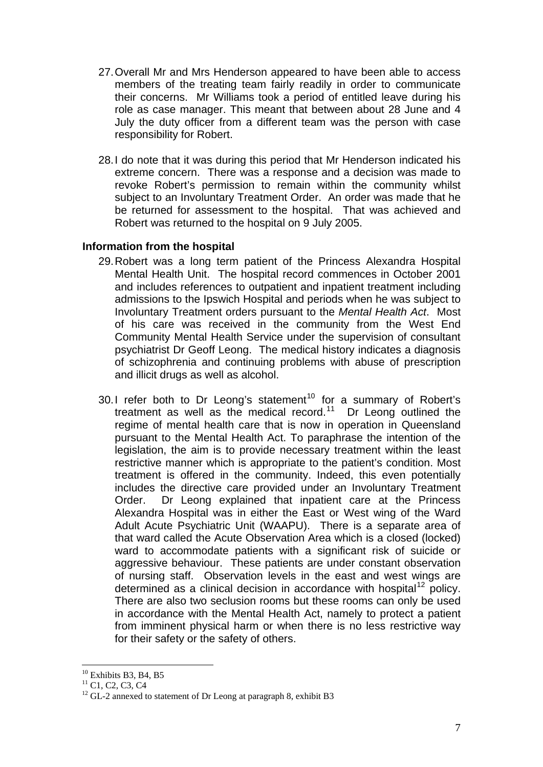- 27. Overall Mr and Mrs Henderson appeared to have been able to access members of the treating team fairly readily in order to communicate their concerns. Mr Williams took a period of entitled leave during his role as case manager. This meant that between about 28 June and 4 July the duty officer from a different team was the person with case responsibility for Robert.
- 28. I do note that it was during this period that Mr Henderson indicated his extreme concern. There was a response and a decision was made to revoke Robert's permission to remain within the community whilst subject to an Involuntary Treatment Order. An order was made that he be returned for assessment to the hospital. That was achieved and Robert was returned to the hospital on 9 July 2005.

#### **Information from the hospital**

- 29. Robert was a long term patient of the Princess Alexandra Hospital Mental Health Unit. The hospital record commences in October 2001 and includes references to outpatient and inpatient treatment including admissions to the Ipswich Hospital and periods when he was subject to Involuntary Treatment orders pursuant to the *Mental Health Act*. Most of his care was received in the community from the West End Community Mental Health Service under the supervision of consultant psychiatrist Dr Geoff Leong. The medical history indicates a diagnosis of schizophrenia and continuing problems with abuse of prescription and illicit drugs as well as alcohol.
- 30. I refer both to Dr Leong's statement<sup>[10](#page-6-0)</sup> for a summary of Robert's treatment as well as the medical record.<sup>[11](#page-6-1)</sup> Dr Leong outlined the regime of mental health care that is now in operation in Queensland pursuant to the Mental Health Act. To paraphrase the intention of the legislation, the aim is to provide necessary treatment within the least restrictive manner which is appropriate to the patient's condition. Most treatment is offered in the community. Indeed, this even potentially includes the directive care provided under an Involuntary Treatment Order. Dr Leong explained that inpatient care at the Princess Alexandra Hospital was in either the East or West wing of the Ward Adult Acute Psychiatric Unit (WAAPU). There is a separate area of that ward called the Acute Observation Area which is a closed (locked) ward to accommodate patients with a significant risk of suicide or aggressive behaviour. These patients are under constant observation of nursing staff. Observation levels in the east and west wings are determined as a clinical decision in accordance with hospital<sup>[12](#page-6-2)</sup> policy. There are also two seclusion rooms but these rooms can only be used in accordance with the Mental Health Act, namely to protect a patient from imminent physical harm or when there is no less restrictive way for their safety or the safety of others.

<sup>1</sup>  $10$  Exhibits B3, B4, B5

<span id="page-6-1"></span><span id="page-6-0"></span><sup>&</sup>lt;sup>11</sup> C1, C2, C3, C4

<span id="page-6-2"></span> $12$  GL-2 annexed to statement of Dr Leong at paragraph 8, exhibit B3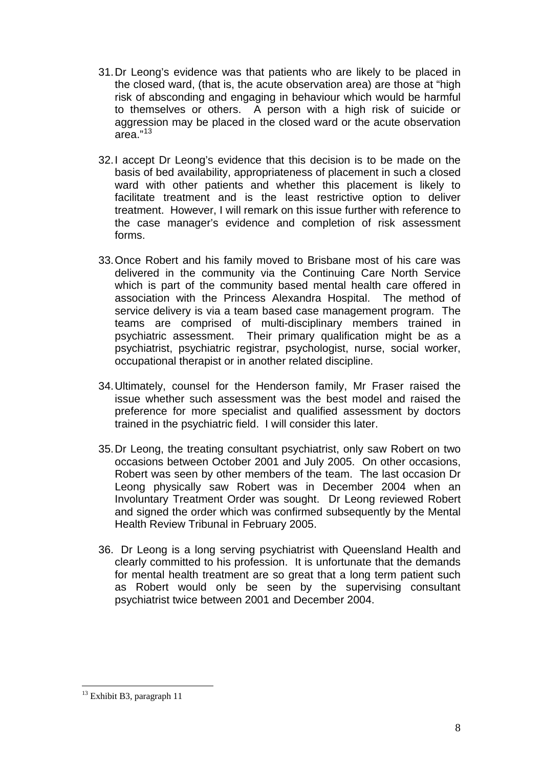- 31. Dr Leong's evidence was that patients who are likely to be placed in the closed ward, (that is, the acute observation area) are those at "high risk of absconding and engaging in behaviour which would be harmful to themselves or others. A person with a high risk of suicide or aggression may be placed in the closed ward or the acute observation  $area.<sup>13</sup>$  $area.<sup>13</sup>$  $area.<sup>13</sup>$
- 32. I accept Dr Leong's evidence that this decision is to be made on the basis of bed availability, appropriateness of placement in such a closed ward with other patients and whether this placement is likely to facilitate treatment and is the least restrictive option to deliver treatment. However, I will remark on this issue further with reference to the case manager's evidence and completion of risk assessment forms.
- 33. Once Robert and his family moved to Brisbane most of his care was delivered in the community via the Continuing Care North Service which is part of the community based mental health care offered in association with the Princess Alexandra Hospital. The method of service delivery is via a team based case management program. The teams are comprised of multi-disciplinary members trained in psychiatric assessment. Their primary qualification might be as a psychiatrist, psychiatric registrar, psychologist, nurse, social worker, occupational therapist or in another related discipline.
- 34. Ultimately, counsel for the Henderson family, Mr Fraser raised the issue whether such assessment was the best model and raised the preference for more specialist and qualified assessment by doctors trained in the psychiatric field. I will consider this later.
- 35. Dr Leong, the treating consultant psychiatrist, only saw Robert on two occasions between October 2001 and July 2005. On other occasions, Robert was seen by other members of the team. The last occasion Dr Leong physically saw Robert was in December 2004 when an Involuntary Treatment Order was sought. Dr Leong reviewed Robert and signed the order which was confirmed subsequently by the Mental Health Review Tribunal in February 2005.
- 36. Dr Leong is a long serving psychiatrist with Queensland Health and clearly committed to his profession. It is unfortunate that the demands for mental health treatment are so great that a long term patient such as Robert would only be seen by the supervising consultant psychiatrist twice between 2001 and December 2004.

<span id="page-7-0"></span><sup>&</sup>lt;sup>13</sup> Exhibit B3, paragraph 11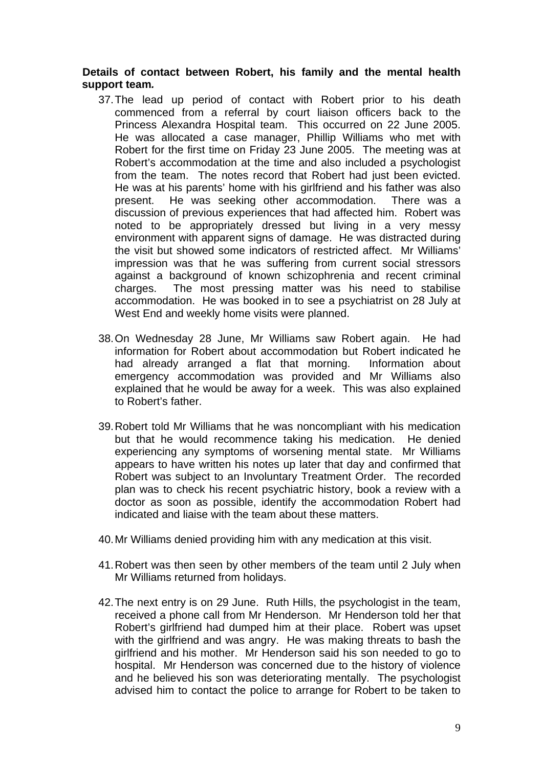#### **Details of contact between Robert, his family and the mental health support team***.*

- 37. The lead up period of contact with Robert prior to his death commenced from a referral by court liaison officers back to the Princess Alexandra Hospital team. This occurred on 22 June 2005. He was allocated a case manager, Phillip Williams who met with Robert for the first time on Friday 23 June 2005. The meeting was at Robert's accommodation at the time and also included a psychologist from the team. The notes record that Robert had just been evicted. He was at his parents' home with his girlfriend and his father was also present. He was seeking other accommodation. There was a discussion of previous experiences that had affected him. Robert was noted to be appropriately dressed but living in a very messy environment with apparent signs of damage. He was distracted during the visit but showed some indicators of restricted affect. Mr Williams' impression was that he was suffering from current social stressors against a background of known schizophrenia and recent criminal charges. The most pressing matter was his need to stabilise accommodation. He was booked in to see a psychiatrist on 28 July at West End and weekly home visits were planned.
- 38. On Wednesday 28 June, Mr Williams saw Robert again. He had information for Robert about accommodation but Robert indicated he had already arranged a flat that morning. Information about emergency accommodation was provided and Mr Williams also explained that he would be away for a week. This was also explained to Robert's father.
- 39. Robert told Mr Williams that he was noncompliant with his medication but that he would recommence taking his medication. He denied experiencing any symptoms of worsening mental state. Mr Williams appears to have written his notes up later that day and confirmed that Robert was subject to an Involuntary Treatment Order. The recorded plan was to check his recent psychiatric history, book a review with a doctor as soon as possible, identify the accommodation Robert had indicated and liaise with the team about these matters.
- 40. Mr Williams denied providing him with any medication at this visit.
- 41. Robert was then seen by other members of the team until 2 July when Mr Williams returned from holidays.
- 42. The next entry is on 29 June. Ruth Hills, the psychologist in the team, received a phone call from Mr Henderson. Mr Henderson told her that Robert's girlfriend had dumped him at their place. Robert was upset with the girlfriend and was angry. He was making threats to bash the girlfriend and his mother. Mr Henderson said his son needed to go to hospital. Mr Henderson was concerned due to the history of violence and he believed his son was deteriorating mentally. The psychologist advised him to contact the police to arrange for Robert to be taken to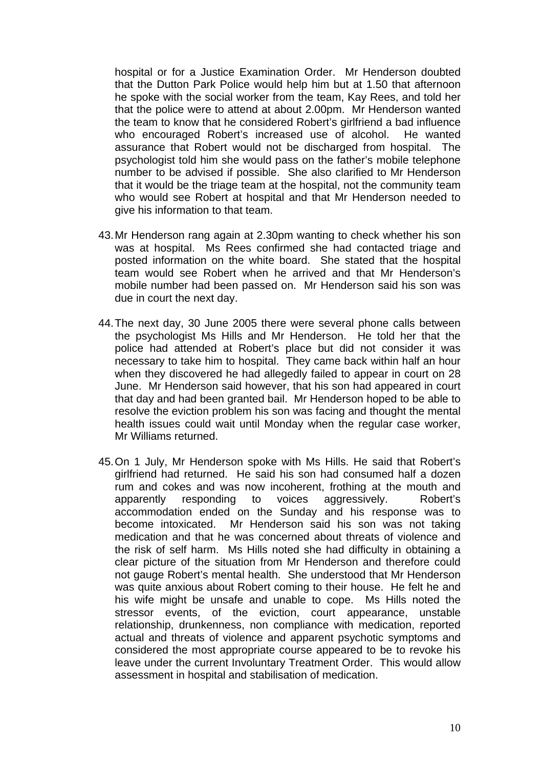hospital or for a Justice Examination Order. Mr Henderson doubted that the Dutton Park Police would help him but at 1.50 that afternoon he spoke with the social worker from the team, Kay Rees, and told her that the police were to attend at about 2.00pm. Mr Henderson wanted the team to know that he considered Robert's girlfriend a bad influence who encouraged Robert's increased use of alcohol. He wanted assurance that Robert would not be discharged from hospital. The psychologist told him she would pass on the father's mobile telephone number to be advised if possible. She also clarified to Mr Henderson that it would be the triage team at the hospital, not the community team who would see Robert at hospital and that Mr Henderson needed to give his information to that team.

- 43. Mr Henderson rang again at 2.30pm wanting to check whether his son was at hospital. Ms Rees confirmed she had contacted triage and posted information on the white board. She stated that the hospital team would see Robert when he arrived and that Mr Henderson's mobile number had been passed on. Mr Henderson said his son was due in court the next day.
- 44. The next day, 30 June 2005 there were several phone calls between the psychologist Ms Hills and Mr Henderson. He told her that the police had attended at Robert's place but did not consider it was necessary to take him to hospital. They came back within half an hour when they discovered he had allegedly failed to appear in court on 28 June. Mr Henderson said however, that his son had appeared in court that day and had been granted bail. Mr Henderson hoped to be able to resolve the eviction problem his son was facing and thought the mental health issues could wait until Monday when the regular case worker, Mr Williams returned.
- 45. On 1 July, Mr Henderson spoke with Ms Hills. He said that Robert's girlfriend had returned. He said his son had consumed half a dozen rum and cokes and was now incoherent, frothing at the mouth and apparently responding to voices aggressively. Robert's accommodation ended on the Sunday and his response was to become intoxicated. Mr Henderson said his son was not taking medication and that he was concerned about threats of violence and the risk of self harm. Ms Hills noted she had difficulty in obtaining a clear picture of the situation from Mr Henderson and therefore could not gauge Robert's mental health. She understood that Mr Henderson was quite anxious about Robert coming to their house. He felt he and his wife might be unsafe and unable to cope. Ms Hills noted the stressor events, of the eviction, court appearance, unstable relationship, drunkenness, non compliance with medication, reported actual and threats of violence and apparent psychotic symptoms and considered the most appropriate course appeared to be to revoke his leave under the current Involuntary Treatment Order. This would allow assessment in hospital and stabilisation of medication.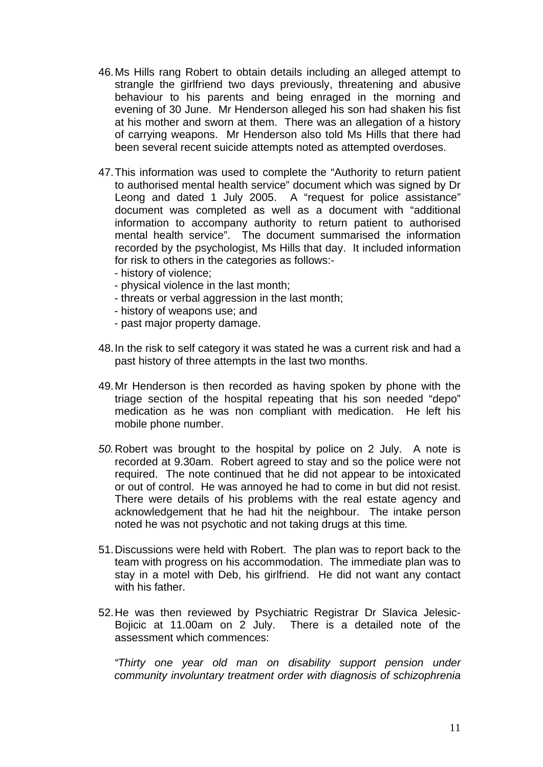- 46. Ms Hills rang Robert to obtain details including an alleged attempt to strangle the girlfriend two days previously, threatening and abusive behaviour to his parents and being enraged in the morning and evening of 30 June. Mr Henderson alleged his son had shaken his fist at his mother and sworn at them. There was an allegation of a history of carrying weapons. Mr Henderson also told Ms Hills that there had been several recent suicide attempts noted as attempted overdoses.
- 47. This information was used to complete the "Authority to return patient to authorised mental health service" document which was signed by Dr Leong and dated 1 July 2005. A "request for police assistance" document was completed as well as a document with "additional information to accompany authority to return patient to authorised mental health service". The document summarised the information recorded by the psychologist, Ms Hills that day. It included information for risk to others in the categories as follows:-
	- history of violence;
	- physical violence in the last month;
	- threats or verbal aggression in the last month;
	- history of weapons use; and
	- past major property damage.
- 48. In the risk to self category it was stated he was a current risk and had a past history of three attempts in the last two months.
- 49. Mr Henderson is then recorded as having spoken by phone with the triage section of the hospital repeating that his son needed "depo" medication as he was non compliant with medication. He left his mobile phone number.
- *50.*Robert was brought to the hospital by police on 2 July. A note is recorded at 9.30am. Robert agreed to stay and so the police were not required. The note continued that he did not appear to be intoxicated or out of control. He was annoyed he had to come in but did not resist. There were details of his problems with the real estate agency and acknowledgement that he had hit the neighbour. The intake person noted he was not psychotic and not taking drugs at this time*.*
- 51. Discussions were held with Robert. The plan was to report back to the team with progress on his accommodation. The immediate plan was to stay in a motel with Deb, his girlfriend. He did not want any contact with his father
- 52. He was then reviewed by Psychiatric Registrar Dr Slavica Jelesic-Bojicic at 11.00am on 2 July. There is a detailed note of the assessment which commences:

*"Thirty one year old man on disability support pension under community involuntary treatment order with diagnosis of schizophrenia*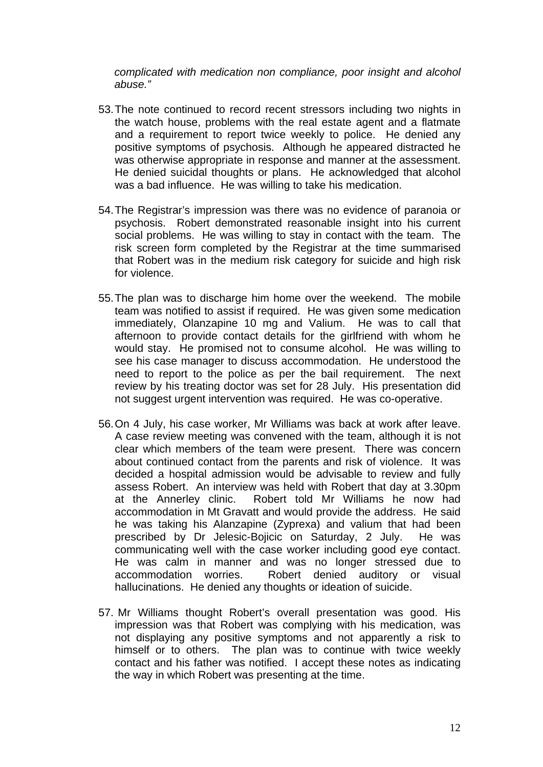*complicated with medication non compliance, poor insight and alcohol abuse."* 

- 53. The note continued to record recent stressors including two nights in the watch house, problems with the real estate agent and a flatmate and a requirement to report twice weekly to police. He denied any positive symptoms of psychosis. Although he appeared distracted he was otherwise appropriate in response and manner at the assessment. He denied suicidal thoughts or plans. He acknowledged that alcohol was a bad influence. He was willing to take his medication.
- 54. The Registrar's impression was there was no evidence of paranoia or psychosis. Robert demonstrated reasonable insight into his current social problems. He was willing to stay in contact with the team. The risk screen form completed by the Registrar at the time summarised that Robert was in the medium risk category for suicide and high risk for violence.
- 55. The plan was to discharge him home over the weekend. The mobile team was notified to assist if required. He was given some medication immediately, Olanzapine 10 mg and Valium. He was to call that afternoon to provide contact details for the girlfriend with whom he would stay. He promised not to consume alcohol. He was willing to see his case manager to discuss accommodation. He understood the need to report to the police as per the bail requirement. The next review by his treating doctor was set for 28 July. His presentation did not suggest urgent intervention was required. He was co-operative.
- 56. On 4 July, his case worker, Mr Williams was back at work after leave. A case review meeting was convened with the team, although it is not clear which members of the team were present. There was concern about continued contact from the parents and risk of violence. It was decided a hospital admission would be advisable to review and fully assess Robert. An interview was held with Robert that day at 3.30pm at the Annerley clinic. Robert told Mr Williams he now had accommodation in Mt Gravatt and would provide the address. He said he was taking his Alanzapine (Zyprexa) and valium that had been prescribed by Dr Jelesic-Bojicic on Saturday, 2 July. He was communicating well with the case worker including good eye contact. He was calm in manner and was no longer stressed due to accommodation worries. Robert denied auditory or visual hallucinations. He denied any thoughts or ideation of suicide.
- 57. Mr Williams thought Robert's overall presentation was good. His impression was that Robert was complying with his medication, was not displaying any positive symptoms and not apparently a risk to himself or to others. The plan was to continue with twice weekly contact and his father was notified. I accept these notes as indicating the way in which Robert was presenting at the time.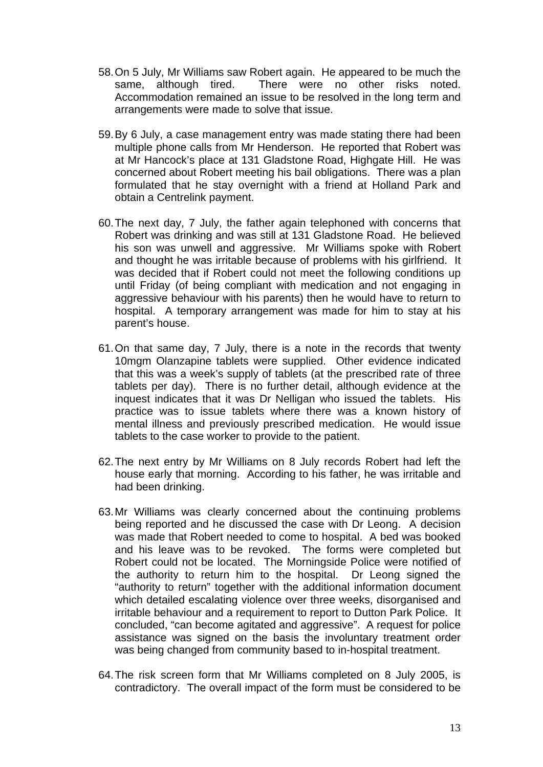- 58. On 5 July, Mr Williams saw Robert again. He appeared to be much the same, although tired. There were no other risks noted. Accommodation remained an issue to be resolved in the long term and arrangements were made to solve that issue.
- 59. By 6 July, a case management entry was made stating there had been multiple phone calls from Mr Henderson. He reported that Robert was at Mr Hancock's place at 131 Gladstone Road, Highgate Hill. He was concerned about Robert meeting his bail obligations. There was a plan formulated that he stay overnight with a friend at Holland Park and obtain a Centrelink payment.
- 60. The next day, 7 July, the father again telephoned with concerns that Robert was drinking and was still at 131 Gladstone Road. He believed his son was unwell and aggressive. Mr Williams spoke with Robert and thought he was irritable because of problems with his girlfriend. It was decided that if Robert could not meet the following conditions up until Friday (of being compliant with medication and not engaging in aggressive behaviour with his parents) then he would have to return to hospital. A temporary arrangement was made for him to stay at his parent's house.
- 61. On that same day, 7 July, there is a note in the records that twenty 10mgm Olanzapine tablets were supplied. Other evidence indicated that this was a week's supply of tablets (at the prescribed rate of three tablets per day). There is no further detail, although evidence at the inquest indicates that it was Dr Nelligan who issued the tablets. His practice was to issue tablets where there was a known history of mental illness and previously prescribed medication. He would issue tablets to the case worker to provide to the patient.
- 62. The next entry by Mr Williams on 8 July records Robert had left the house early that morning. According to his father, he was irritable and had been drinking.
- 63. Mr Williams was clearly concerned about the continuing problems being reported and he discussed the case with Dr Leong. A decision was made that Robert needed to come to hospital. A bed was booked and his leave was to be revoked. The forms were completed but Robert could not be located. The Morningside Police were notified of the authority to return him to the hospital. Dr Leong signed the "authority to return" together with the additional information document which detailed escalating violence over three weeks, disorganised and irritable behaviour and a requirement to report to Dutton Park Police. It concluded, "can become agitated and aggressive". A request for police assistance was signed on the basis the involuntary treatment order was being changed from community based to in-hospital treatment.
- 64. The risk screen form that Mr Williams completed on 8 July 2005, is contradictory. The overall impact of the form must be considered to be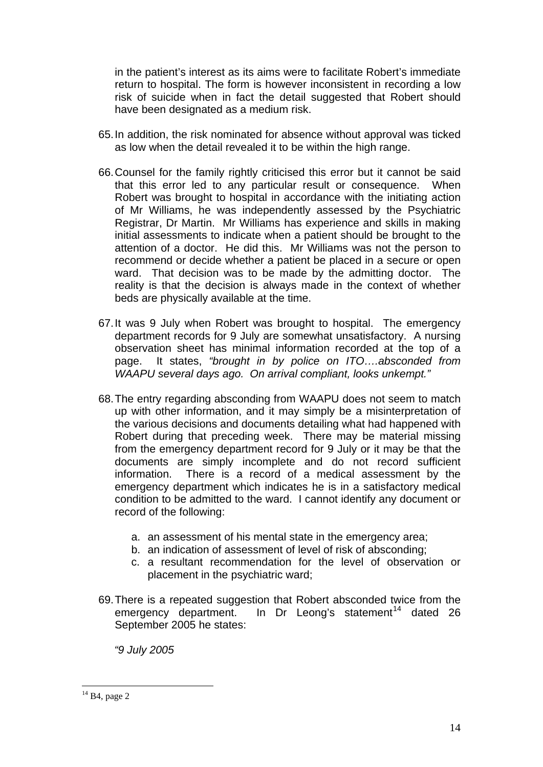in the patient's interest as its aims were to facilitate Robert's immediate return to hospital. The form is however inconsistent in recording a low risk of suicide when in fact the detail suggested that Robert should have been designated as a medium risk.

- 65. In addition, the risk nominated for absence without approval was ticked as low when the detail revealed it to be within the high range.
- 66. Counsel for the family rightly criticised this error but it cannot be said that this error led to any particular result or consequence. When Robert was brought to hospital in accordance with the initiating action of Mr Williams, he was independently assessed by the Psychiatric Registrar, Dr Martin. Mr Williams has experience and skills in making initial assessments to indicate when a patient should be brought to the attention of a doctor. He did this. Mr Williams was not the person to recommend or decide whether a patient be placed in a secure or open ward. That decision was to be made by the admitting doctor. The reality is that the decision is always made in the context of whether beds are physically available at the time.
- 67. It was 9 July when Robert was brought to hospital. The emergency department records for 9 July are somewhat unsatisfactory. A nursing observation sheet has minimal information recorded at the top of a page. It states, *"brought in by police on ITO….absconded from WAAPU several days ago. On arrival compliant, looks unkempt."*
- 68. The entry regarding absconding from WAAPU does not seem to match up with other information, and it may simply be a misinterpretation of the various decisions and documents detailing what had happened with Robert during that preceding week. There may be material missing from the emergency department record for 9 July or it may be that the documents are simply incomplete and do not record sufficient information. There is a record of a medical assessment by the emergency department which indicates he is in a satisfactory medical condition to be admitted to the ward. I cannot identify any document or record of the following:
	- a. an assessment of his mental state in the emergency area;
	- b. an indication of assessment of level of risk of absconding;
	- c. a resultant recommendation for the level of observation or placement in the psychiatric ward;
- 69. There is a repeated suggestion that Robert absconded twice from the emergency department. In Dr Leong's statement<sup>[14](#page-13-0)</sup> dated 26 September 2005 he states:

*"9 July 2005* 

<span id="page-13-0"></span> $14$  B4, page 2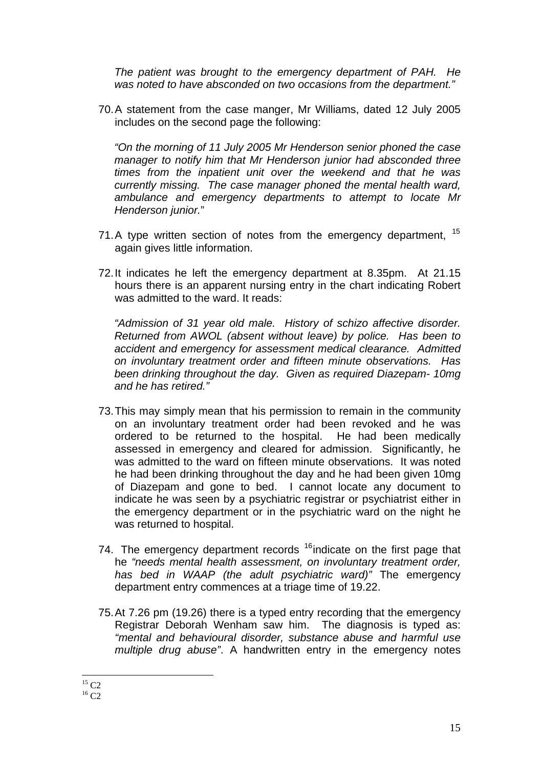*The patient was brought to the emergency department of PAH. He was noted to have absconded on two occasions from the department."* 

70. A statement from the case manger, Mr Williams, dated 12 July 2005 includes on the second page the following:

*"On the morning of 11 July 2005 Mr Henderson senior phoned the case manager to notify him that Mr Henderson junior had absconded three times from the inpatient unit over the weekend and that he was currently missing. The case manager phoned the mental health ward, ambulance and emergency departments to attempt to locate Mr Henderson junior.*"

- 71. A type written section of notes from the emergency department, <sup>[15](#page-14-0)</sup> again gives little information.
- 72. It indicates he left the emergency department at 8.35pm. At 21.15 hours there is an apparent nursing entry in the chart indicating Robert was admitted to the ward. It reads:

*"Admission of 31 year old male. History of schizo affective disorder. Returned from AWOL (absent without leave) by police. Has been to accident and emergency for assessment medical clearance. Admitted on involuntary treatment order and fifteen minute observations. Has been drinking throughout the day. Given as required Diazepam- 10mg and he has retired."* 

- 73. This may simply mean that his permission to remain in the community on an involuntary treatment order had been revoked and he was ordered to be returned to the hospital. He had been medically assessed in emergency and cleared for admission. Significantly, he was admitted to the ward on fifteen minute observations. It was noted he had been drinking throughout the day and he had been given 10mg of Diazepam and gone to bed. I cannot locate any document to indicate he was seen by a psychiatric registrar or psychiatrist either in the emergency department or in the psychiatric ward on the night he was returned to hospital.
- 74. The emergency department records  $16$  indicate on the first page that he *"needs mental health assessment, on involuntary treatment order, has bed in WAAP (the adult psychiatric ward)"* The emergency department entry commences at a triage time of 19.22.
- 75. At 7.26 pm (19.26) there is a typed entry recording that the emergency Registrar Deborah Wenham saw him. The diagnosis is typed as: *"mental and behavioural disorder, substance abuse and harmful use multiple drug abuse"*. A handwritten entry in the emergency notes

<u>.</u>  $15 \text{ C2}$ 

<span id="page-14-1"></span><span id="page-14-0"></span> $^{16}$  C2  $\,$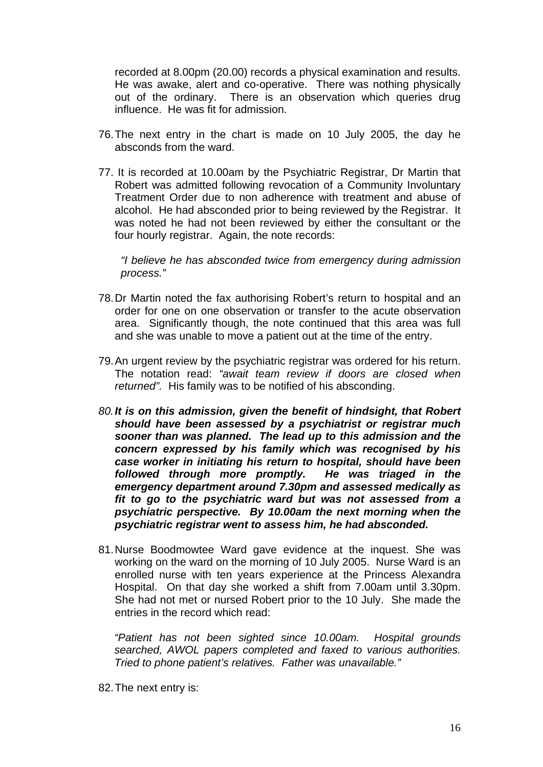recorded at 8.00pm (20.00) records a physical examination and results. He was awake, alert and co-operative. There was nothing physically out of the ordinary. There is an observation which queries drug influence. He was fit for admission.

- 76. The next entry in the chart is made on 10 July 2005, the day he absconds from the ward.
- 77. It is recorded at 10.00am by the Psychiatric Registrar, Dr Martin that Robert was admitted following revocation of a Community Involuntary Treatment Order due to non adherence with treatment and abuse of alcohol. He had absconded prior to being reviewed by the Registrar. It was noted he had not been reviewed by either the consultant or the four hourly registrar. Again, the note records:

*"I believe he has absconded twice from emergency during admission process."* 

- 78. Dr Martin noted the fax authorising Robert's return to hospital and an order for one on one observation or transfer to the acute observation area. Significantly though, the note continued that this area was full and she was unable to move a patient out at the time of the entry.
- 79. An urgent review by the psychiatric registrar was ordered for his return. The notation read: *"await team review if doors are closed when returned".* His family was to be notified of his absconding.
- *80.It is on this admission, given the benefit of hindsight, that Robert should have been assessed by a psychiatrist or registrar much sooner than was planned. The lead up to this admission and the concern expressed by his family which was recognised by his case worker in initiating his return to hospital, should have been followed through more promptly. He was triaged in the emergency department around 7.30pm and assessed medically as fit to go to the psychiatric ward but was not assessed from a psychiatric perspective. By 10.00am the next morning when the psychiatric registrar went to assess him, he had absconded.*
- 81. Nurse Boodmowtee Ward gave evidence at the inquest. She was working on the ward on the morning of 10 July 2005. Nurse Ward is an enrolled nurse with ten years experience at the Princess Alexandra Hospital. On that day she worked a shift from 7.00am until 3.30pm. She had not met or nursed Robert prior to the 10 July. She made the entries in the record which read:

*"Patient has not been sighted since 10.00am. Hospital grounds searched, AWOL papers completed and faxed to various authorities. Tried to phone patient's relatives. Father was unavailable."* 

82. The next entry is: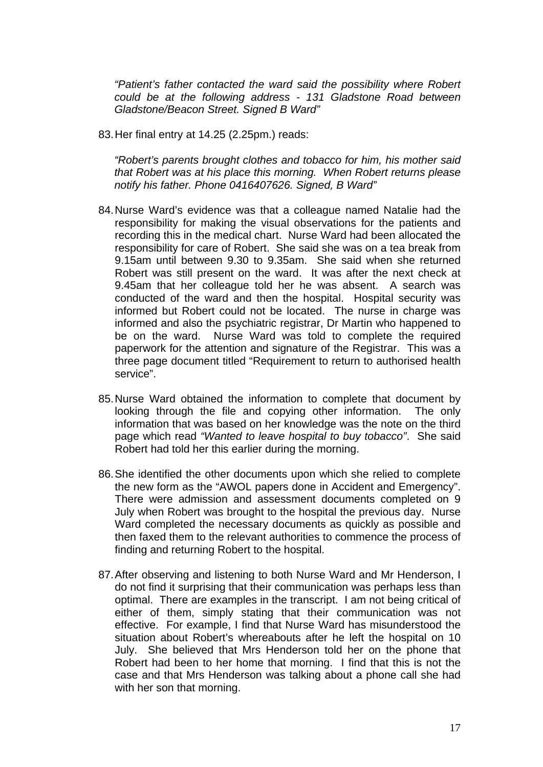*"Patient's father contacted the ward said the possibility where Robert could be at the following address - 131 Gladstone Road between Gladstone/Beacon Street. Signed B Ward"* 

83. Her final entry at 14.25 (2.25pm.) reads:

*"Robert's parents brought clothes and tobacco for him, his mother said that Robert was at his place this morning. When Robert returns please notify his father. Phone 0416407626. Signed, B Ward"* 

- 84. Nurse Ward's evidence was that a colleague named Natalie had the responsibility for making the visual observations for the patients and recording this in the medical chart. Nurse Ward had been allocated the responsibility for care of Robert. She said she was on a tea break from 9.15am until between 9.30 to 9.35am. She said when she returned Robert was still present on the ward. It was after the next check at 9.45am that her colleague told her he was absent. A search was conducted of the ward and then the hospital. Hospital security was informed but Robert could not be located. The nurse in charge was informed and also the psychiatric registrar, Dr Martin who happened to be on the ward. Nurse Ward was told to complete the required paperwork for the attention and signature of the Registrar. This was a three page document titled "Requirement to return to authorised health service".
- 85. Nurse Ward obtained the information to complete that document by looking through the file and copying other information. The only information that was based on her knowledge was the note on the third page which read *"Wanted to leave hospital to buy tobacco"*. She said Robert had told her this earlier during the morning.
- 86. She identified the other documents upon which she relied to complete the new form as the "AWOL papers done in Accident and Emergency". There were admission and assessment documents completed on 9 July when Robert was brought to the hospital the previous day. Nurse Ward completed the necessary documents as quickly as possible and then faxed them to the relevant authorities to commence the process of finding and returning Robert to the hospital.
- 87. After observing and listening to both Nurse Ward and Mr Henderson, I do not find it surprising that their communication was perhaps less than optimal. There are examples in the transcript. I am not being critical of either of them, simply stating that their communication was not effective. For example, I find that Nurse Ward has misunderstood the situation about Robert's whereabouts after he left the hospital on 10 July. She believed that Mrs Henderson told her on the phone that Robert had been to her home that morning. I find that this is not the case and that Mrs Henderson was talking about a phone call she had with her son that morning.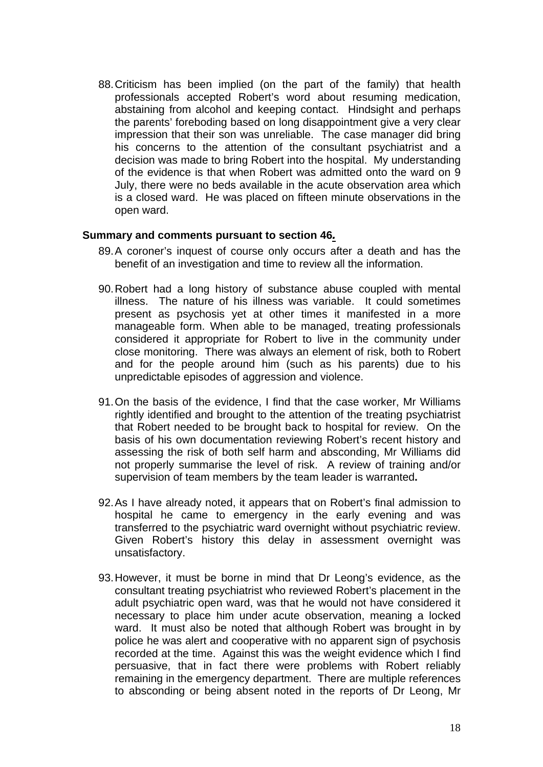88. Criticism has been implied (on the part of the family) that health professionals accepted Robert's word about resuming medication, abstaining from alcohol and keeping contact. Hindsight and perhaps the parents' foreboding based on long disappointment give a very clear impression that their son was unreliable. The case manager did bring his concerns to the attention of the consultant psychiatrist and a decision was made to bring Robert into the hospital. My understanding of the evidence is that when Robert was admitted onto the ward on 9 July, there were no beds available in the acute observation area which is a closed ward. He was placed on fifteen minute observations in the open ward.

#### **Summary and comments pursuant to section 46***.*

- 89. A coroner's inquest of course only occurs after a death and has the benefit of an investigation and time to review all the information.
- 90. Robert had a long history of substance abuse coupled with mental illness. The nature of his illness was variable. It could sometimes present as psychosis yet at other times it manifested in a more manageable form. When able to be managed, treating professionals considered it appropriate for Robert to live in the community under close monitoring. There was always an element of risk, both to Robert and for the people around him (such as his parents) due to his unpredictable episodes of aggression and violence.
- 91. On the basis of the evidence, I find that the case worker, Mr Williams rightly identified and brought to the attention of the treating psychiatrist that Robert needed to be brought back to hospital for review. On the basis of his own documentation reviewing Robert's recent history and assessing the risk of both self harm and absconding, Mr Williams did not properly summarise the level of risk. A review of training and/or supervision of team members by the team leader is warranted**.**
- 92. As I have already noted, it appears that on Robert's final admission to hospital he came to emergency in the early evening and was transferred to the psychiatric ward overnight without psychiatric review. Given Robert's history this delay in assessment overnight was unsatisfactory.
- 93. However, it must be borne in mind that Dr Leong's evidence, as the consultant treating psychiatrist who reviewed Robert's placement in the adult psychiatric open ward, was that he would not have considered it necessary to place him under acute observation, meaning a locked ward. It must also be noted that although Robert was brought in by police he was alert and cooperative with no apparent sign of psychosis recorded at the time. Against this was the weight evidence which I find persuasive, that in fact there were problems with Robert reliably remaining in the emergency department. There are multiple references to absconding or being absent noted in the reports of Dr Leong, Mr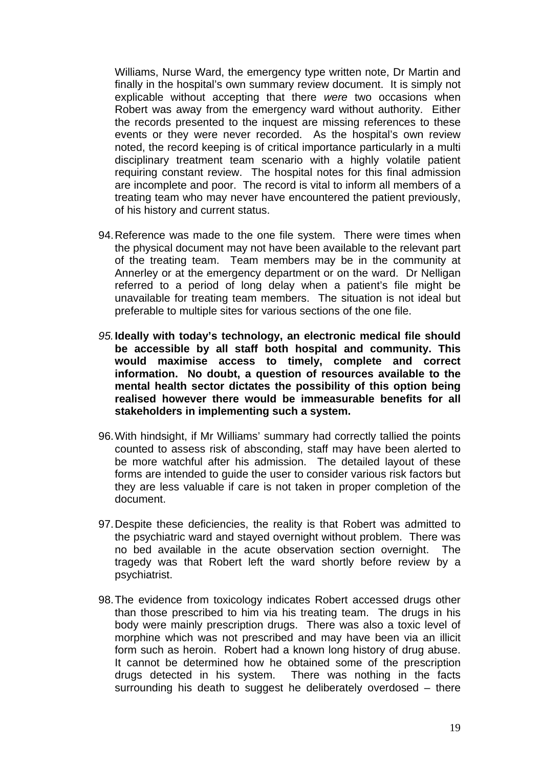Williams, Nurse Ward, the emergency type written note, Dr Martin and finally in the hospital's own summary review document. It is simply not explicable without accepting that there *were* two occasions when Robert was away from the emergency ward without authority. Either the records presented to the inquest are missing references to these events or they were never recorded. As the hospital's own review noted, the record keeping is of critical importance particularly in a multi disciplinary treatment team scenario with a highly volatile patient requiring constant review. The hospital notes for this final admission are incomplete and poor. The record is vital to inform all members of a treating team who may never have encountered the patient previously, of his history and current status.

- 94. Reference was made to the one file system. There were times when the physical document may not have been available to the relevant part of the treating team. Team members may be in the community at Annerley or at the emergency department or on the ward. Dr Nelligan referred to a period of long delay when a patient's file might be unavailable for treating team members. The situation is not ideal but preferable to multiple sites for various sections of the one file.
- *95.***Ideally with today's technology, an electronic medical file should be accessible by all staff both hospital and community. This would maximise access to timely, complete and correct information. No doubt, a question of resources available to the mental health sector dictates the possibility of this option being realised however there would be immeasurable benefits for all stakeholders in implementing such a system.**
- 96. With hindsight, if Mr Williams' summary had correctly tallied the points counted to assess risk of absconding, staff may have been alerted to be more watchful after his admission. The detailed layout of these forms are intended to guide the user to consider various risk factors but they are less valuable if care is not taken in proper completion of the document.
- 97. Despite these deficiencies, the reality is that Robert was admitted to the psychiatric ward and stayed overnight without problem. There was no bed available in the acute observation section overnight. The tragedy was that Robert left the ward shortly before review by a psychiatrist.
- 98. The evidence from toxicology indicates Robert accessed drugs other than those prescribed to him via his treating team. The drugs in his body were mainly prescription drugs. There was also a toxic level of morphine which was not prescribed and may have been via an illicit form such as heroin. Robert had a known long history of drug abuse. It cannot be determined how he obtained some of the prescription drugs detected in his system. There was nothing in the facts surrounding his death to suggest he deliberately overdosed – there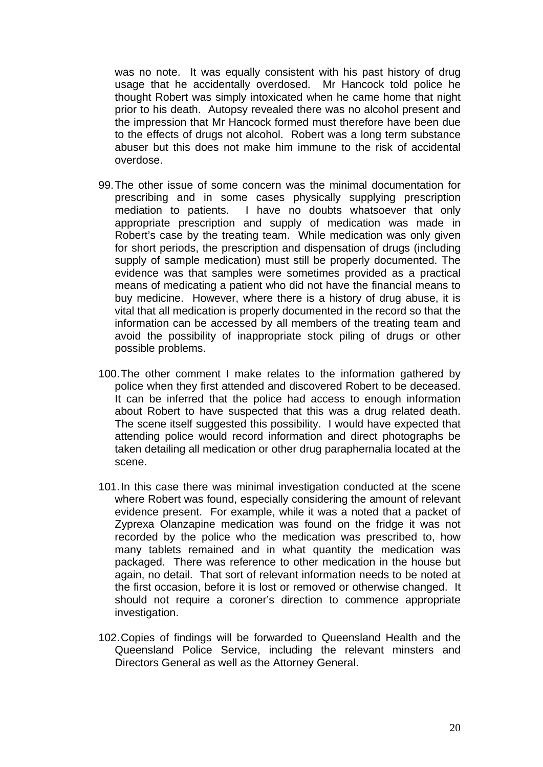was no note. It was equally consistent with his past history of drug usage that he accidentally overdosed. Mr Hancock told police he thought Robert was simply intoxicated when he came home that night prior to his death. Autopsy revealed there was no alcohol present and the impression that Mr Hancock formed must therefore have been due to the effects of drugs not alcohol. Robert was a long term substance abuser but this does not make him immune to the risk of accidental overdose.

- 99. The other issue of some concern was the minimal documentation for prescribing and in some cases physically supplying prescription mediation to patients. I have no doubts whatsoever that only appropriate prescription and supply of medication was made in Robert's case by the treating team. While medication was only given for short periods, the prescription and dispensation of drugs (including supply of sample medication) must still be properly documented. The evidence was that samples were sometimes provided as a practical means of medicating a patient who did not have the financial means to buy medicine. However, where there is a history of drug abuse, it is vital that all medication is properly documented in the record so that the information can be accessed by all members of the treating team and avoid the possibility of inappropriate stock piling of drugs or other possible problems.
- 100. The other comment I make relates to the information gathered by police when they first attended and discovered Robert to be deceased. It can be inferred that the police had access to enough information about Robert to have suspected that this was a drug related death. The scene itself suggested this possibility. I would have expected that attending police would record information and direct photographs be taken detailing all medication or other drug paraphernalia located at the scene.
- 101. In this case there was minimal investigation conducted at the scene where Robert was found, especially considering the amount of relevant evidence present. For example, while it was a noted that a packet of Zyprexa Olanzapine medication was found on the fridge it was not recorded by the police who the medication was prescribed to, how many tablets remained and in what quantity the medication was packaged. There was reference to other medication in the house but again, no detail. That sort of relevant information needs to be noted at the first occasion, before it is lost or removed or otherwise changed. It should not require a coroner's direction to commence appropriate investigation.
- 102. Copies of findings will be forwarded to Queensland Health and the Queensland Police Service, including the relevant minsters and Directors General as well as the Attorney General.